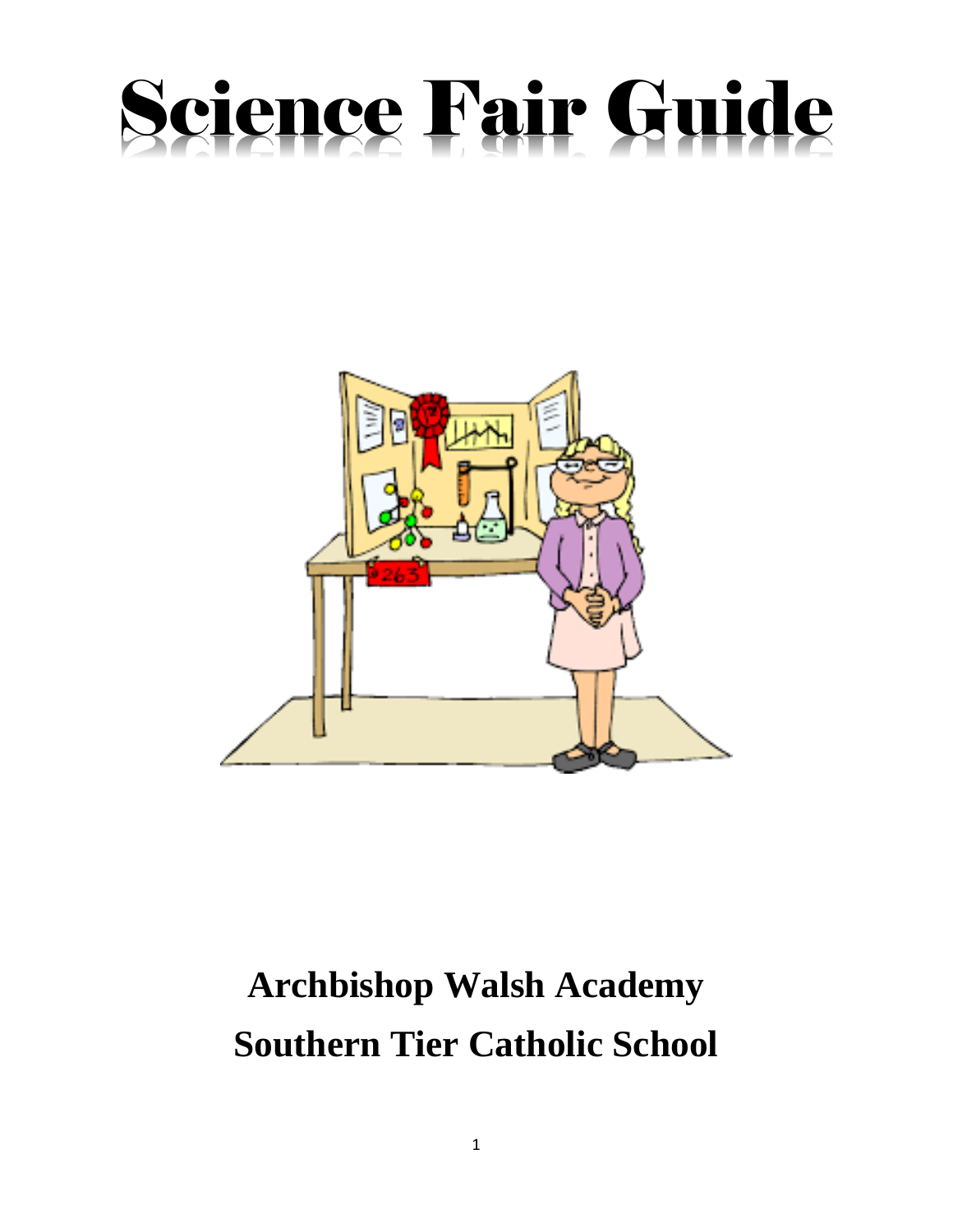# Science Fair Guide



# **Archbishop Walsh Academy Southern Tier Catholic School**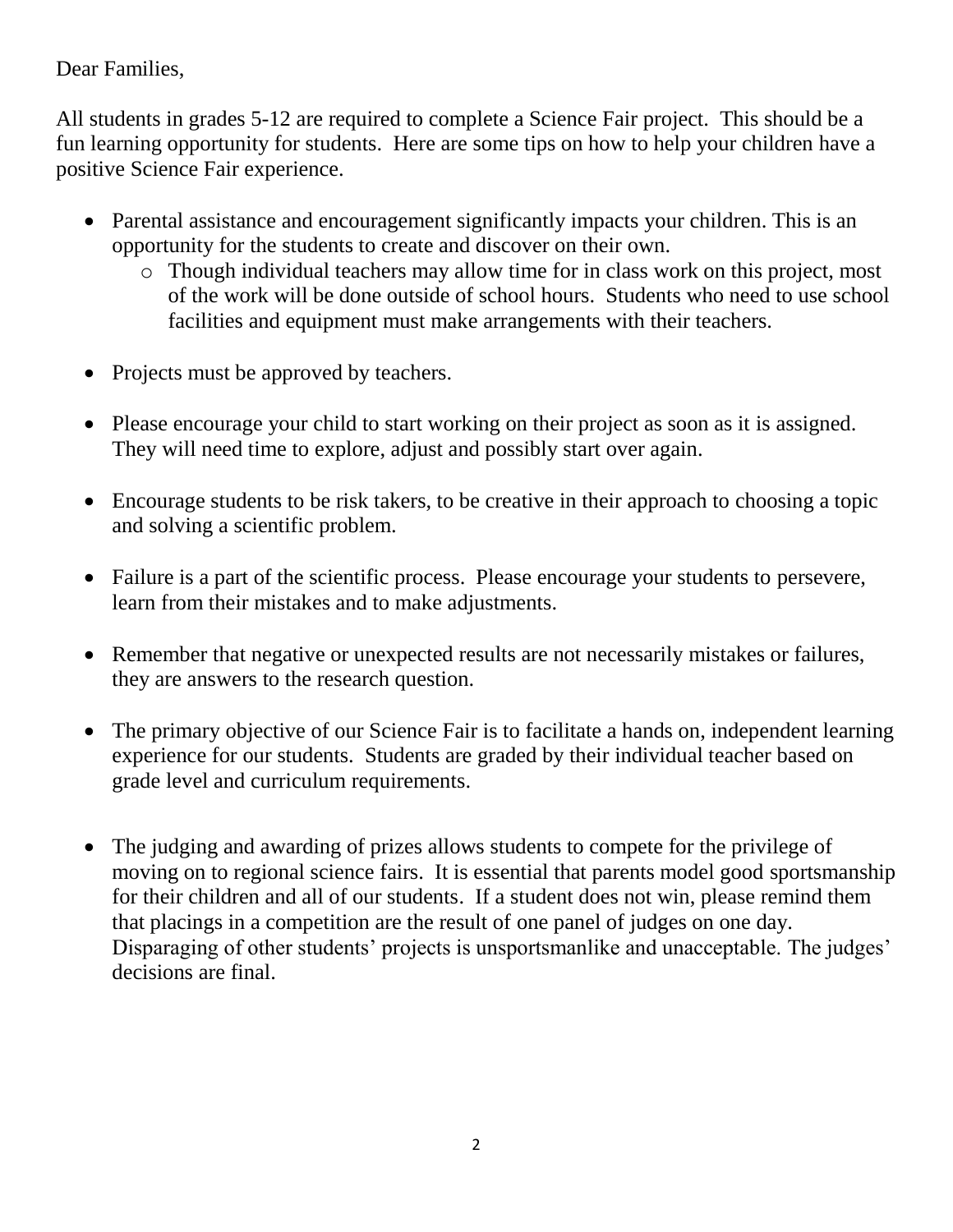#### Dear Families,

All students in grades 5-12 are required to complete a Science Fair project. This should be a fun learning opportunity for students. Here are some tips on how to help your children have a positive Science Fair experience.

- Parental assistance and encouragement significantly impacts your children. This is an opportunity for the students to create and discover on their own.
	- o Though individual teachers may allow time for in class work on this project, most of the work will be done outside of school hours. Students who need to use school facilities and equipment must make arrangements with their teachers.
- Projects must be approved by teachers.
- Please encourage your child to start working on their project as soon as it is assigned. They will need time to explore, adjust and possibly start over again.
- Encourage students to be risk takers, to be creative in their approach to choosing a topic and solving a scientific problem.
- Failure is a part of the scientific process. Please encourage your students to persevere, learn from their mistakes and to make adjustments.
- Remember that negative or unexpected results are not necessarily mistakes or failures, they are answers to the research question.
- The primary objective of our Science Fair is to facilitate a hands on, independent learning experience for our students. Students are graded by their individual teacher based on grade level and curriculum requirements.
- The judging and awarding of prizes allows students to compete for the privilege of moving on to regional science fairs. It is essential that parents model good sportsmanship for their children and all of our students. If a student does not win, please remind them that placings in a competition are the result of one panel of judges on one day. Disparaging of other students' projects is unsportsmanlike and unacceptable. The judges' decisions are final.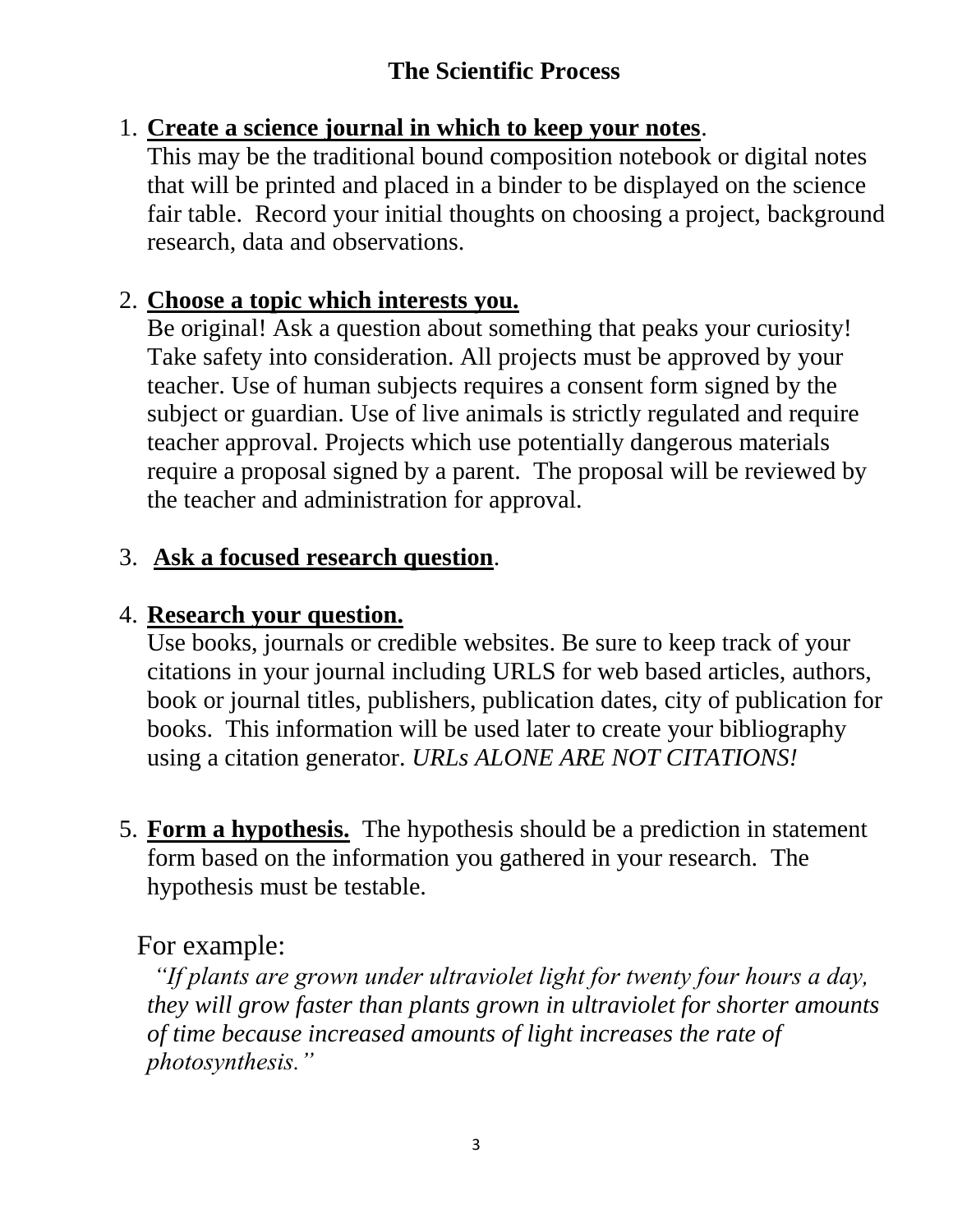# **The Scientific Process**

# 1. **Create a science journal in which to keep your notes**.

This may be the traditional bound composition notebook or digital notes that will be printed and placed in a binder to be displayed on the science fair table. Record your initial thoughts on choosing a project, background research, data and observations.

# 2. **Choose a topic which interests you.**

Be original! Ask a question about something that peaks your curiosity! Take safety into consideration. All projects must be approved by your teacher. Use of human subjects requires a consent form signed by the subject or guardian. Use of live animals is strictly regulated and require teacher approval. Projects which use potentially dangerous materials require a proposal signed by a parent. The proposal will be reviewed by the teacher and administration for approval.

# 3. **Ask a focused research question**.

# 4. **Research your question.**

Use books, journals or credible websites. Be sure to keep track of your citations in your journal including URLS for web based articles, authors, book or journal titles, publishers, publication dates, city of publication for books. This information will be used later to create your bibliography using a citation generator. *URLs ALONE ARE NOT CITATIONS!*

5. **Form a hypothesis.** The hypothesis should be a prediction in statement form based on the information you gathered in your research. The hypothesis must be testable.

# For example:

*"If plants are grown under ultraviolet light for twenty four hours a day, they will grow faster than plants grown in ultraviolet for shorter amounts of time because increased amounts of light increases the rate of photosynthesis."*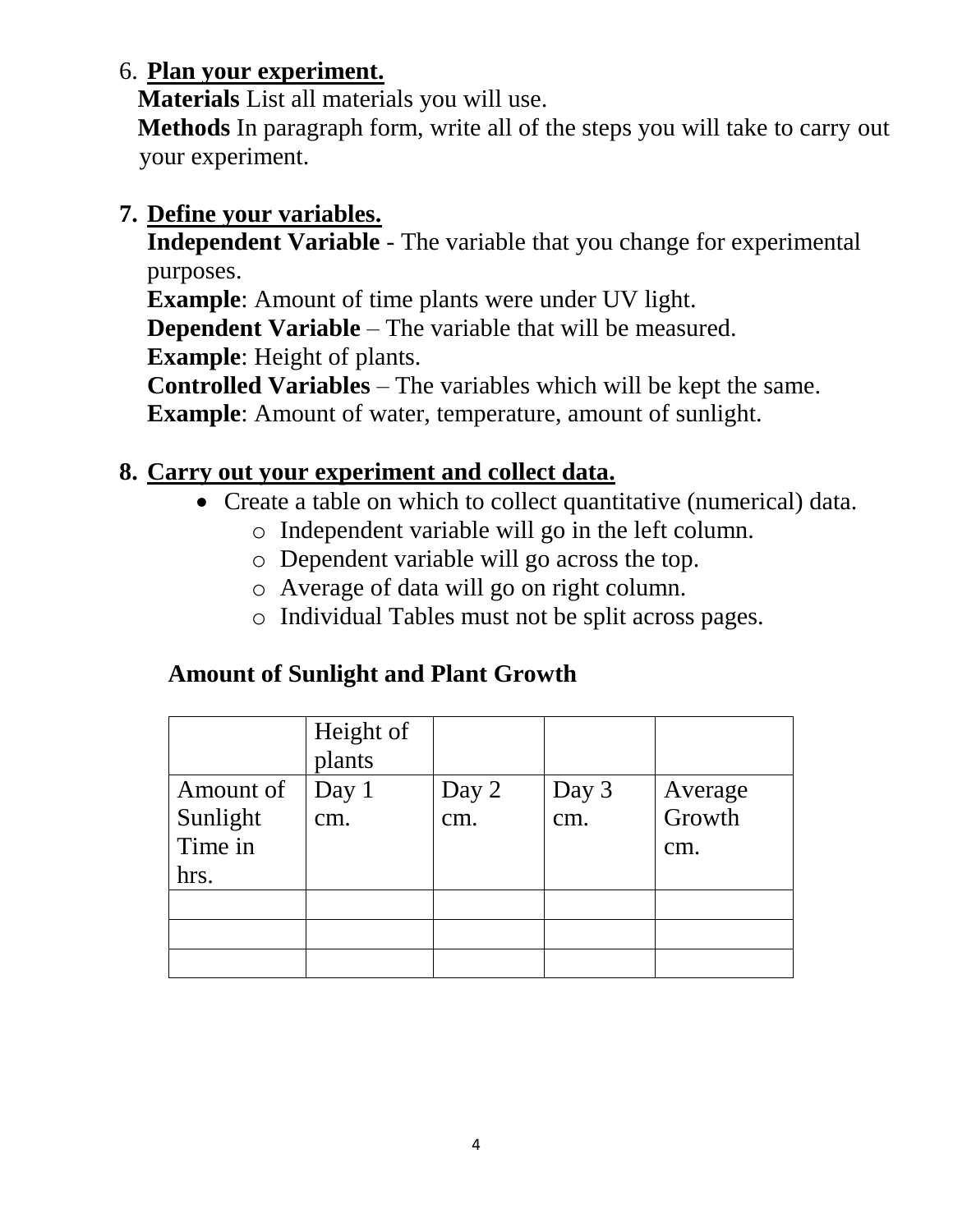# 6. **Plan your experiment.**

**Materials** List all materials you will use.

 **Methods** In paragraph form, write all of the steps you will take to carry out your experiment.

# **7. Define your variables.**

**Independent Variable** - The variable that you change for experimental purposes.

**Example**: Amount of time plants were under UV light.

**Dependent Variable** – The variable that will be measured.

**Example**: Height of plants.

**Controlled Variables** – The variables which will be kept the same.

**Example**: Amount of water, temperature, amount of sunlight.

# **8. Carry out your experiment and collect data.**

- Create a table on which to collect quantitative (numerical) data.
	- o Independent variable will go in the left column.
	- o Dependent variable will go across the top.
	- o Average of data will go on right column.
	- o Individual Tables must not be split across pages.

# **Amount of Sunlight and Plant Growth**

|                                          | Height of<br>plants |              |              |                          |
|------------------------------------------|---------------------|--------------|--------------|--------------------------|
| Amount of<br>Sunlight<br>Time in<br>hrs. | Day 1<br>cm.        | Day 2<br>cm. | Day 3<br>cm. | Average<br>Growth<br>cm. |
|                                          |                     |              |              |                          |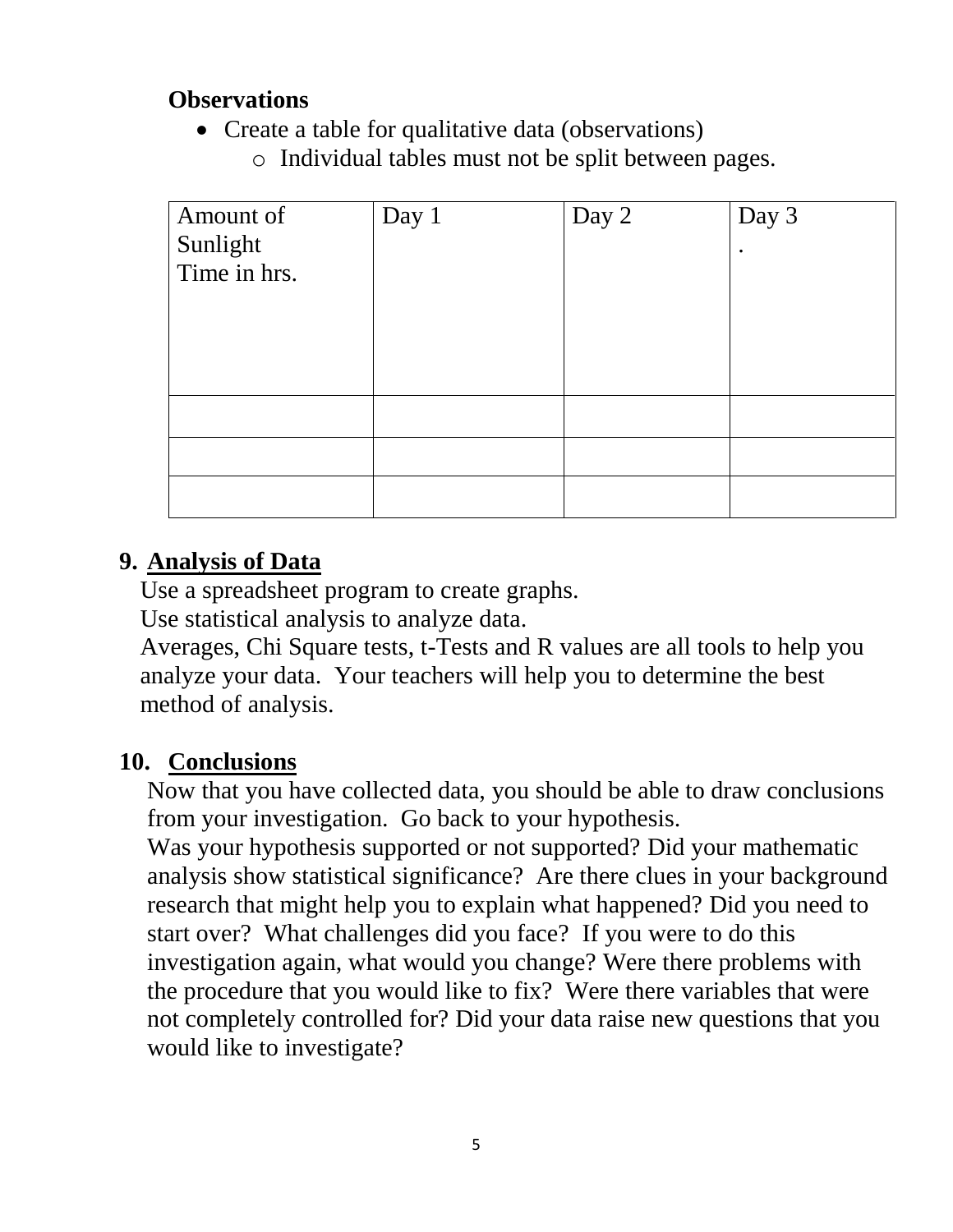#### **Observations**

- Create a table for qualitative data (observations)
	- o Individual tables must not be split between pages.

| Amount of    | Day 1 | Day 2 | Day 3 |
|--------------|-------|-------|-------|
| Sunlight     |       |       | ٠     |
| Time in hrs. |       |       |       |
|              |       |       |       |
|              |       |       |       |
|              |       |       |       |
|              |       |       |       |
|              |       |       |       |
|              |       |       |       |
|              |       |       |       |
|              |       |       |       |

#### **9. Analysis of Data**

Use a spreadsheet program to create graphs.

Use statistical analysis to analyze data.

Averages, Chi Square tests, t-Tests and R values are all tools to help you analyze your data. Your teachers will help you to determine the best method of analysis.

#### **10. Conclusions**

Now that you have collected data, you should be able to draw conclusions from your investigation. Go back to your hypothesis.

Was your hypothesis supported or not supported? Did your mathematic analysis show statistical significance? Are there clues in your background research that might help you to explain what happened? Did you need to start over? What challenges did you face? If you were to do this investigation again, what would you change? Were there problems with the procedure that you would like to fix? Were there variables that were not completely controlled for? Did your data raise new questions that you would like to investigate?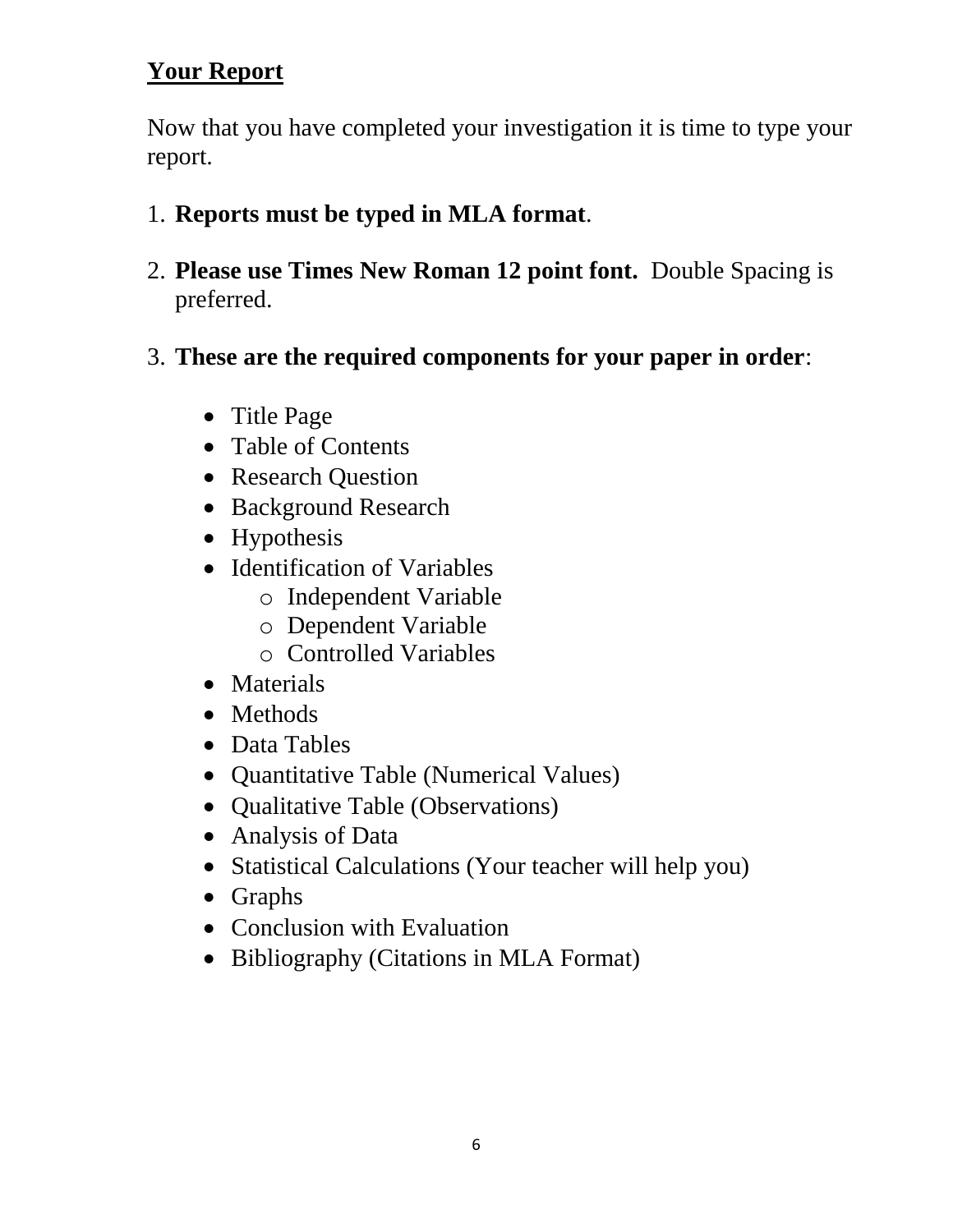# **Your Report**

Now that you have completed your investigation it is time to type your report.

- 1. **Reports must be typed in MLA format**.
- 2. **Please use Times New Roman 12 point font.** Double Spacing is preferred.
- 3. **These are the required components for your paper in order**:
	- Title Page
	- Table of Contents
	- Research Question
	- Background Research
	- Hypothesis
	- Identification of Variables
		- o Independent Variable
		- o Dependent Variable
		- o Controlled Variables
	- Materials
	- Methods
	- Data Tables
	- Quantitative Table (Numerical Values)
	- Qualitative Table (Observations)
	- Analysis of Data
	- Statistical Calculations (Your teacher will help you)
	- Graphs
	- Conclusion with Evaluation
	- Bibliography (Citations in MLA Format)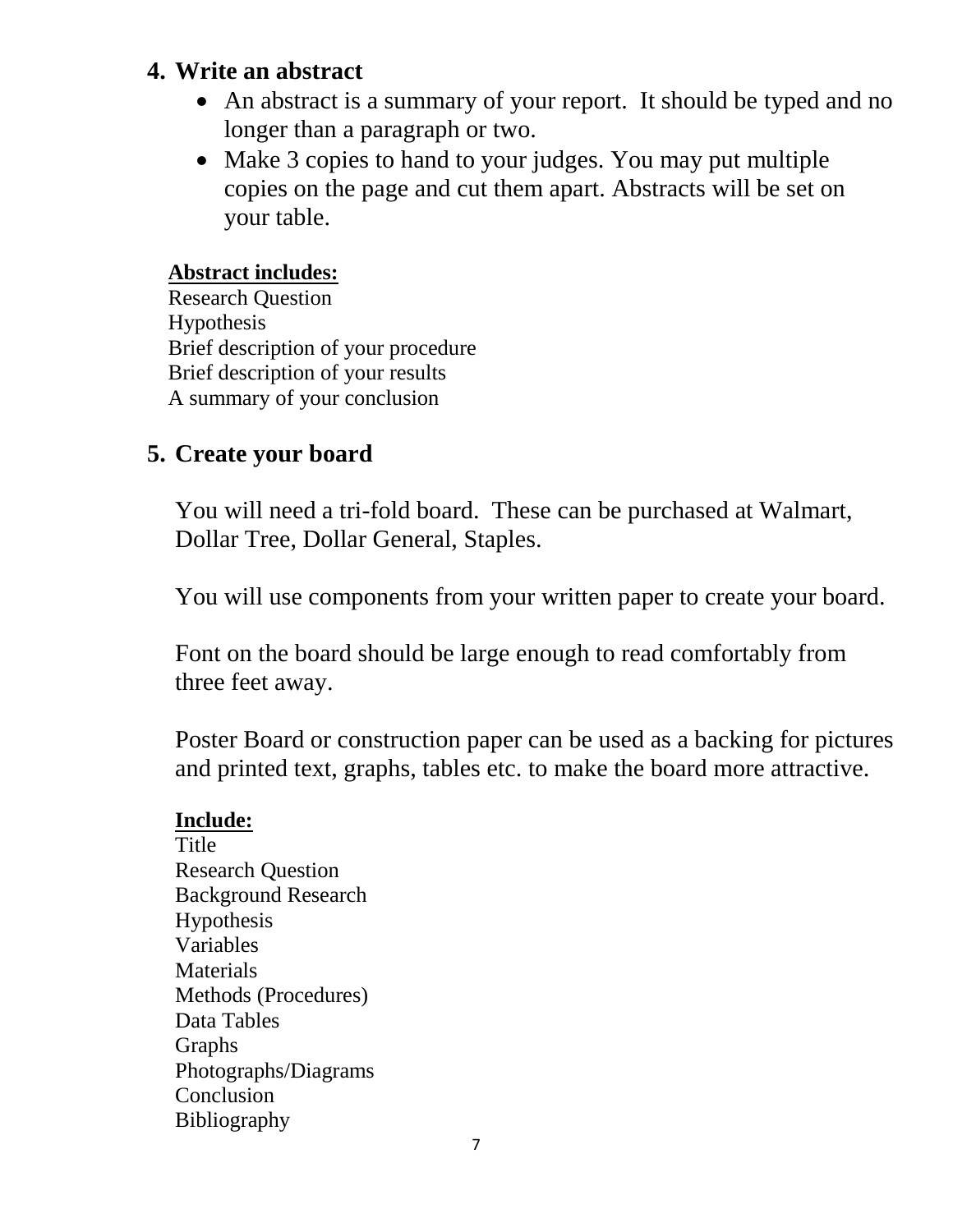#### **4. Write an abstract**

- An abstract is a summary of your report. It should be typed and no longer than a paragraph or two.
- Make 3 copies to hand to your judges. You may put multiple copies on the page and cut them apart. Abstracts will be set on your table.

#### **Abstract includes:**

Research Question Hypothesis Brief description of your procedure Brief description of your results A summary of your conclusion

## **5. Create your board**

You will need a tri-fold board. These can be purchased at Walmart, Dollar Tree, Dollar General, Staples.

You will use components from your written paper to create your board.

Font on the board should be large enough to read comfortably from three feet away.

Poster Board or construction paper can be used as a backing for pictures and printed text, graphs, tables etc. to make the board more attractive.

#### **Include:**

Title Research Question Background Research Hypothesis Variables Materials Methods (Procedures) Data Tables Graphs Photographs/Diagrams Conclusion Bibliography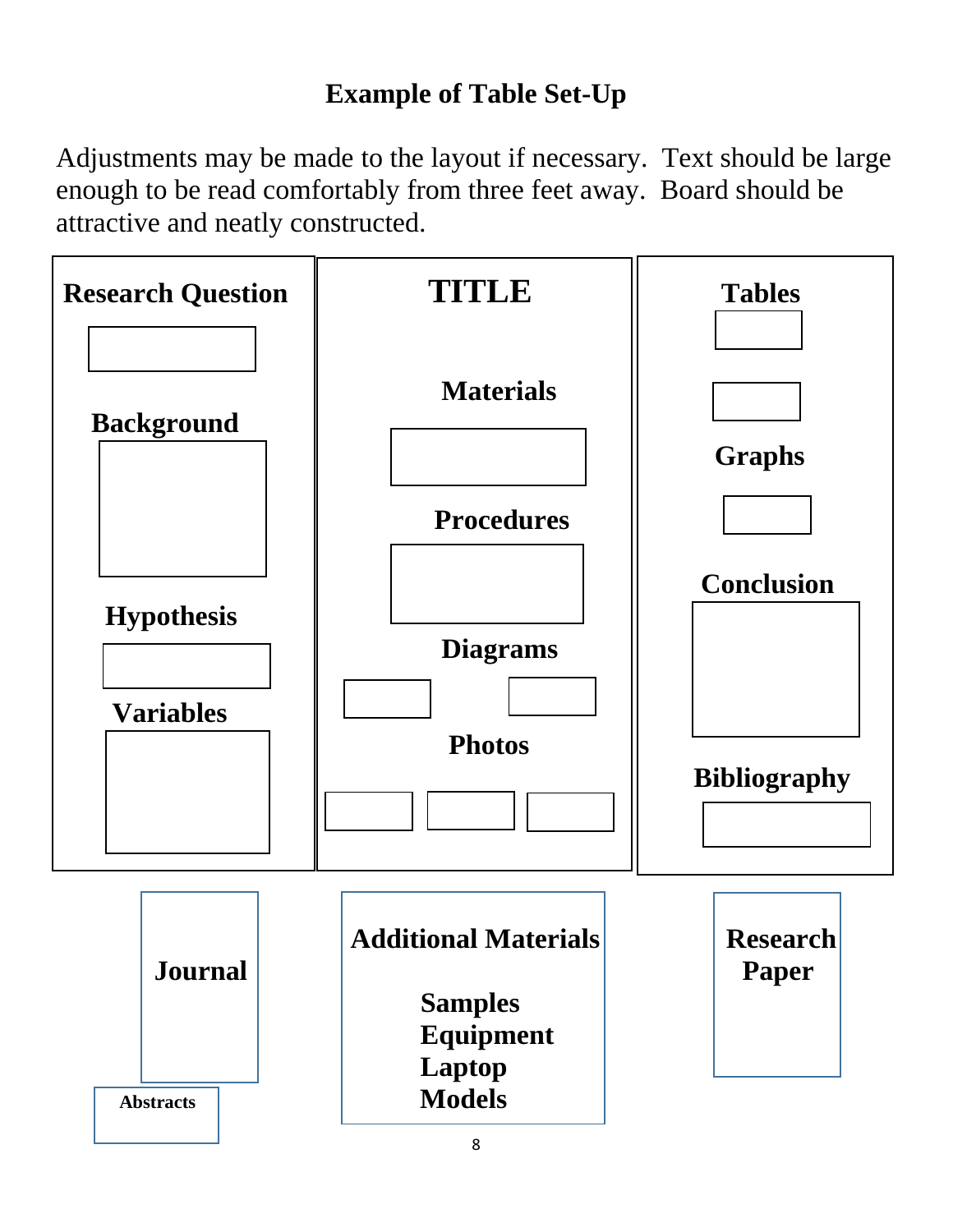# **Example of Table Set-Up**

Adjustments may be made to the layout if necessary. Text should be large enough to be read comfortably from three feet away. Board should be attractive and neatly constructed.

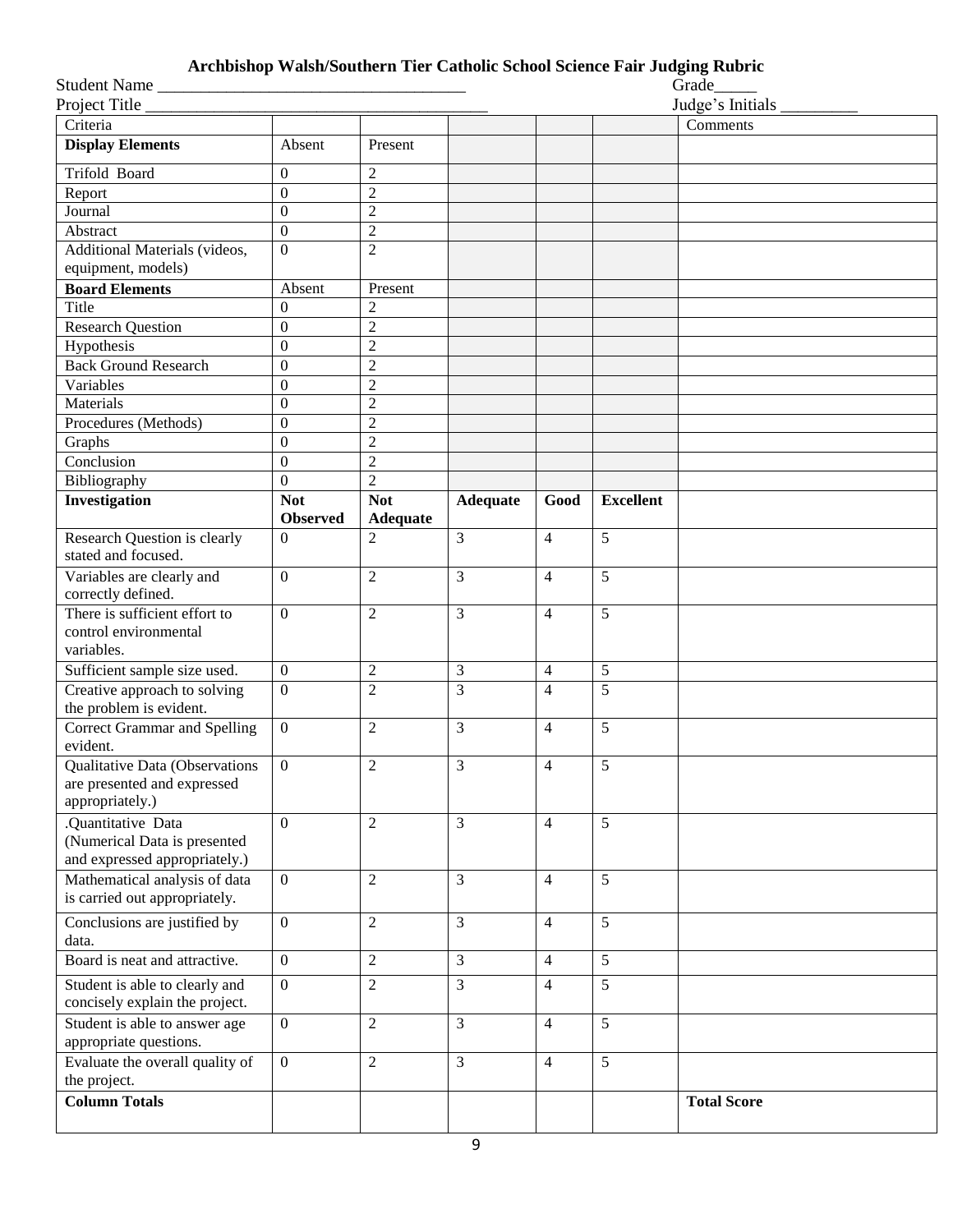#### **Archbishop Walsh/Southern Tier Catholic School Science Fair Judging Rubric**

| Student Name                             |                  |                 |                 |                |                  | Grade              |
|------------------------------------------|------------------|-----------------|-----------------|----------------|------------------|--------------------|
| Project Title                            |                  |                 |                 |                |                  | Judge's Initials   |
| Criteria                                 |                  |                 |                 |                |                  | Comments           |
| <b>Display Elements</b>                  | Absent           | Present         |                 |                |                  |                    |
| Trifold Board                            | $\Omega$         | $\overline{2}$  |                 |                |                  |                    |
| Report                                   | $\boldsymbol{0}$ | $\overline{c}$  |                 |                |                  |                    |
| Journal                                  | $\boldsymbol{0}$ | $\overline{c}$  |                 |                |                  |                    |
| Abstract                                 | $\mathbf{0}$     | $\overline{2}$  |                 |                |                  |                    |
| Additional Materials (videos,            | $\Omega$         | $\overline{2}$  |                 |                |                  |                    |
| equipment, models)                       |                  |                 |                 |                |                  |                    |
| <b>Board Elements</b>                    | Absent           | Present         |                 |                |                  |                    |
| Title                                    | $\Omega$         | $\overline{2}$  |                 |                |                  |                    |
| <b>Research Question</b>                 | $\boldsymbol{0}$ | $\overline{2}$  |                 |                |                  |                    |
| Hypothesis                               | $\boldsymbol{0}$ | $\overline{2}$  |                 |                |                  |                    |
| <b>Back Ground Research</b>              | $\boldsymbol{0}$ | $\overline{c}$  |                 |                |                  |                    |
| Variables                                | $\boldsymbol{0}$ | $\overline{c}$  |                 |                |                  |                    |
| Materials                                | $\theta$         | $\overline{c}$  |                 |                |                  |                    |
| Procedures (Methods)                     | $\mathbf{0}$     | $\overline{c}$  |                 |                |                  |                    |
| Graphs                                   | $\mathbf{0}$     | $\overline{c}$  |                 |                |                  |                    |
| Conclusion                               | $\boldsymbol{0}$ | $\overline{c}$  |                 |                |                  |                    |
| Bibliography                             | $\mathbf{0}$     | $\overline{2}$  |                 |                |                  |                    |
| Investigation                            | <b>Not</b>       | <b>Not</b>      | <b>Adequate</b> | Good           | <b>Excellent</b> |                    |
|                                          | <b>Observed</b>  | <b>Adequate</b> |                 |                |                  |                    |
| Research Question is clearly             | $\Omega$         | $\overline{2}$  | 3               | $\overline{4}$ | 5                |                    |
| stated and focused.                      |                  |                 |                 |                |                  |                    |
| Variables are clearly and                | $\overline{0}$   | $\overline{2}$  | 3               | $\overline{4}$ | 5                |                    |
| correctly defined.                       |                  |                 |                 |                |                  |                    |
| There is sufficient effort to            | $\overline{0}$   | $\overline{2}$  | 3               | $\overline{4}$ | 5                |                    |
| control environmental                    |                  |                 |                 |                |                  |                    |
| variables.                               |                  |                 |                 |                |                  |                    |
| Sufficient sample size used.             | $\mathbf{0}$     | $\overline{2}$  | 3               | $\overline{4}$ | 5                |                    |
| Creative approach to solving             | $\overline{0}$   | $\overline{2}$  | $\overline{3}$  | $\overline{4}$ | $\overline{5}$   |                    |
| the problem is evident.                  |                  |                 |                 |                |                  |                    |
| Correct Grammar and Spelling<br>evident. | $\mathbf{0}$     | $\overline{2}$  | 3               | $\overline{4}$ | 5                |                    |
| <b>Qualitative Data (Observations</b>    | $\mathbf{0}$     | $\overline{2}$  | 3               | $\overline{4}$ | 5                |                    |
| are presented and expressed              |                  |                 |                 |                |                  |                    |
| appropriately.)                          |                  |                 |                 |                |                  |                    |
| .Quantitative Data                       | $\overline{0}$   | $\overline{2}$  | $\overline{3}$  | $\overline{4}$ | 5                |                    |
| (Numerical Data is presented             |                  |                 |                 |                |                  |                    |
| and expressed appropriately.)            |                  |                 |                 |                |                  |                    |
| Mathematical analysis of data            | $\overline{0}$   | $\overline{2}$  | 3               | $\overline{4}$ | 5                |                    |
| is carried out appropriately.            |                  |                 |                 |                |                  |                    |
| Conclusions are justified by             | $\overline{0}$   | $\overline{2}$  | 3               | $\overline{4}$ | 5                |                    |
| data.                                    |                  |                 |                 |                |                  |                    |
| Board is neat and attractive.            | $\mathbf{0}$     | $\overline{2}$  | 3               | $\overline{4}$ | 5                |                    |
| Student is able to clearly and           | $\mathbf{0}$     | $\overline{2}$  | $\overline{3}$  | $\overline{4}$ | 5                |                    |
| concisely explain the project.           |                  |                 |                 |                |                  |                    |
| Student is able to answer age            | $\overline{0}$   | $\overline{2}$  | 3               | $\overline{4}$ | 5                |                    |
| appropriate questions.                   |                  |                 |                 |                |                  |                    |
| Evaluate the overall quality of          | $\mathbf{0}$     | $\overline{2}$  | 3               | $\overline{4}$ | 5                |                    |
| the project.                             |                  |                 |                 |                |                  |                    |
| <b>Column Totals</b>                     |                  |                 |                 |                |                  | <b>Total Score</b> |
|                                          |                  |                 |                 |                |                  |                    |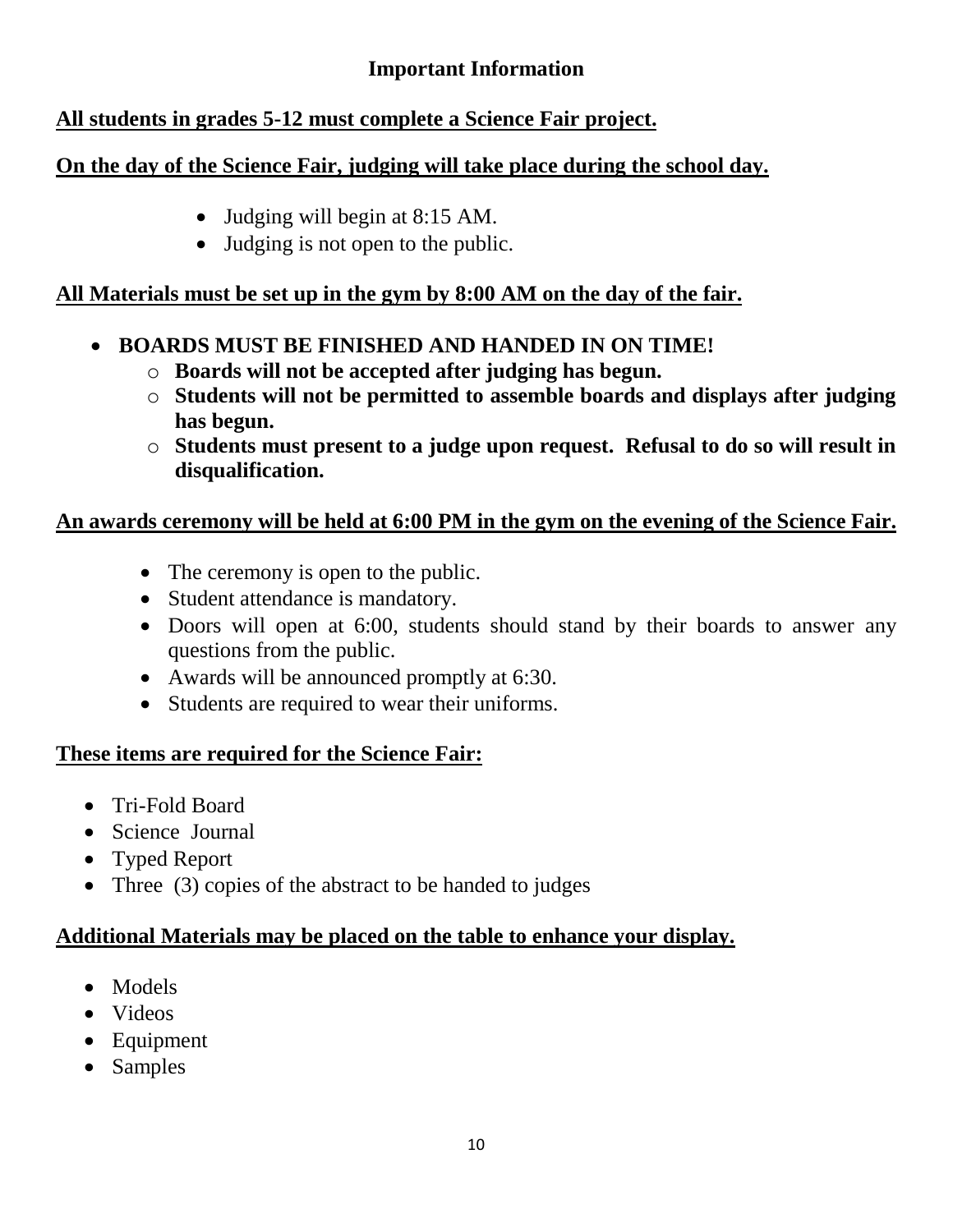#### **Important Information**

#### **All students in grades 5-12 must complete a Science Fair project.**

#### **On the day of the Science Fair, judging will take place during the school day.**

- Judging will begin at 8:15 AM.
- Judging is not open to the public.

#### **All Materials must be set up in the gym by 8:00 AM on the day of the fair.**

- **BOARDS MUST BE FINISHED AND HANDED IN ON TIME!**
	- o **Boards will not be accepted after judging has begun.**
	- o **Students will not be permitted to assemble boards and displays after judging has begun.**
	- o **Students must present to a judge upon request. Refusal to do so will result in disqualification.**

#### **An awards ceremony will be held at 6:00 PM in the gym on the evening of the Science Fair.**

- The ceremony is open to the public.
- Student attendance is mandatory.
- Doors will open at 6:00, students should stand by their boards to answer any questions from the public.
- Awards will be announced promptly at 6:30.
- Students are required to wear their uniforms.

#### **These items are required for the Science Fair:**

- Tri-Fold Board
- Science Journal
- Typed Report
- Three (3) copies of the abstract to be handed to judges

#### **Additional Materials may be placed on the table to enhance your display.**

- Models
- Videos
- Equipment
- Samples